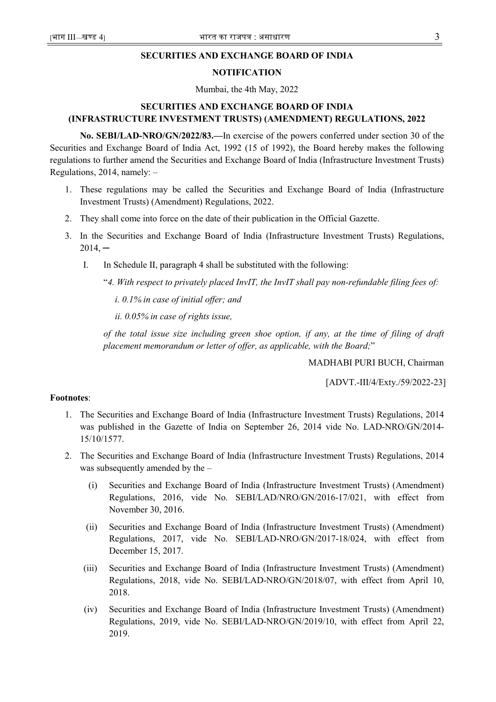## SECURITIES AND EXCHANGE BOARD OF INDIA

## NOTIFICATION

Mumbai, the 4th May, 2022

## SECURITIES AND EXCHANGE BOARD OF INDIA (INFRASTRUCTURE INVESTMENT TRUSTS) (AMENDMENT) REGULATIONS, 2022

No. SEBI/LAD-NRO/GN/2022/83.—In exercise of the powers conferred under section 30 of the Securities and Exchange Board of India Act, 1992 (15 of 1992), the Board hereby makes the following regulations to further amend the Securities and Exchange Board of India (Infrastructure Investment Trusts) Regulations, 2014, namely: –

- 1. These regulations may be called the Securities and Exchange Board of India (Infrastructure Investment Trusts) (Amendment) Regulations, 2022.
- 2. They shall come into force on the date of their publication in the Official Gazette.
- 3. In the Securities and Exchange Board of India (Infrastructure Investment Trusts) Regulations,  $2014, -$ 
	- I. In Schedule II, paragraph 4 shall be substituted with the following:
		- "4. With respect to privately placed InvIT, the InvIT shall pay non-refundable filing fees of:

i. 0.1% in case of initial offer; and

ii. 0.05% in case of rights issue,

of the total issue size including green shoe option, if any, at the time of filing of draft placement memorandum or letter of offer, as applicable, with the Board;"

MADHABI PURI BUCH, Chairman

[ADVT.-III/4/Exty./59/2022-23]

## Footnotes:

- 1. The Securities and Exchange Board of India (Infrastructure Investment Trusts) Regulations, 2014 was published in the Gazette of India on September 26, 2014 vide No. LAD-NRO/GN/2014- 15/10/1577.
- 2. The Securities and Exchange Board of India (Infrastructure Investment Trusts) Regulations, 2014 was subsequently amended by the –
	- (i) Securities and Exchange Board of India (Infrastructure Investment Trusts) (Amendment) Regulations, 2016, vide No. SEBI/LAD/NRO/GN/2016-17/021, with effect from November 30, 2016.
	- (ii) Securities and Exchange Board of India (Infrastructure Investment Trusts) (Amendment) Regulations, 2017, vide No. SEBI/LAD-NRO/GN/2017-18/024, with effect from December 15, 2017.
	- (iii) Securities and Exchange Board of India (Infrastructure Investment Trusts) (Amendment) Regulations, 2018, vide No. SEBI/LAD-NRO/GN/2018/07, with effect from April 10, 2018.
	- (iv) Securities and Exchange Board of India (Infrastructure Investment Trusts) (Amendment) Regulations, 2019, vide No. SEBI/LAD-NRO/GN/2019/10, with effect from April 22, 2019.